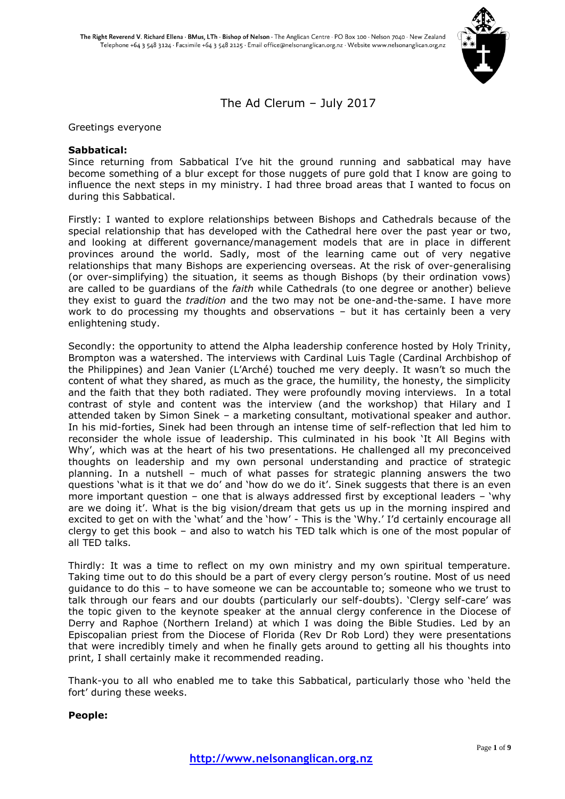

The Ad Clerum – July 2017

Greetings everyone

## **Sabbatical:**

Since returning from Sabbatical I've hit the ground running and sabbatical may have become something of a blur except for those nuggets of pure gold that I know are going to influence the next steps in my ministry. I had three broad areas that I wanted to focus on during this Sabbatical.

Firstly: I wanted to explore relationships between Bishops and Cathedrals because of the special relationship that has developed with the Cathedral here over the past year or two, and looking at different governance/management models that are in place in different provinces around the world. Sadly, most of the learning came out of very negative relationships that many Bishops are experiencing overseas. At the risk of over-generalising (or over-simplifying) the situation, it seems as though Bishops (by their ordination vows) are called to be guardians of the *faith* while Cathedrals (to one degree or another) believe they exist to guard the *tradition* and the two may not be one-and-the-same. I have more work to do processing my thoughts and observations – but it has certainly been a very enlightening study.

Secondly: the opportunity to attend the Alpha leadership conference hosted by Holy Trinity, Brompton was a watershed. The interviews with Cardinal Luis Tagle (Cardinal Archbishop of the Philippines) and Jean Vanier (L'Arché) touched me very deeply. It wasn't so much the content of what they shared, as much as the grace, the humility, the honesty, the simplicity and the faith that they both radiated. They were profoundly moving interviews. In a total contrast of style and content was the interview (and the workshop) that Hilary and I attended taken by Simon Sinek – a marketing consultant, motivational speaker and author. In his mid-forties, Sinek had been through an intense time of self-reflection that led him to reconsider the whole issue of leadership. This culminated in his book 'It All Begins with Why', which was at the heart of his two presentations. He challenged all my preconceived thoughts on leadership and my own personal understanding and practice of strategic planning. In a nutshell – much of what passes for strategic planning answers the two questions 'what is it that we do' and 'how do we do it'. Sinek suggests that there is an even more important question – one that is always addressed first by exceptional leaders – 'why are we doing it'. What is the big vision/dream that gets us up in the morning inspired and excited to get on with the 'what' and the 'how' - This is the 'Why.' I'd certainly encourage all clergy to get this book – and also to watch his TED talk which is one of the most popular of all TED talks.

Thirdly: It was a time to reflect on my own ministry and my own spiritual temperature. Taking time out to do this should be a part of every clergy person's routine. Most of us need guidance to do this – to have someone we can be accountable to; someone who we trust to talk through our fears and our doubts (particularly our self-doubts). 'Clergy self-care' was the topic given to the keynote speaker at the annual clergy conference in the Diocese of Derry and Raphoe (Northern Ireland) at which I was doing the Bible Studies. Led by an Episcopalian priest from the Diocese of Florida (Rev Dr Rob Lord) they were presentations that were incredibly timely and when he finally gets around to getting all his thoughts into print, I shall certainly make it recommended reading.

Thank-you to all who enabled me to take this Sabbatical, particularly those who 'held the fort' during these weeks.

## **People:**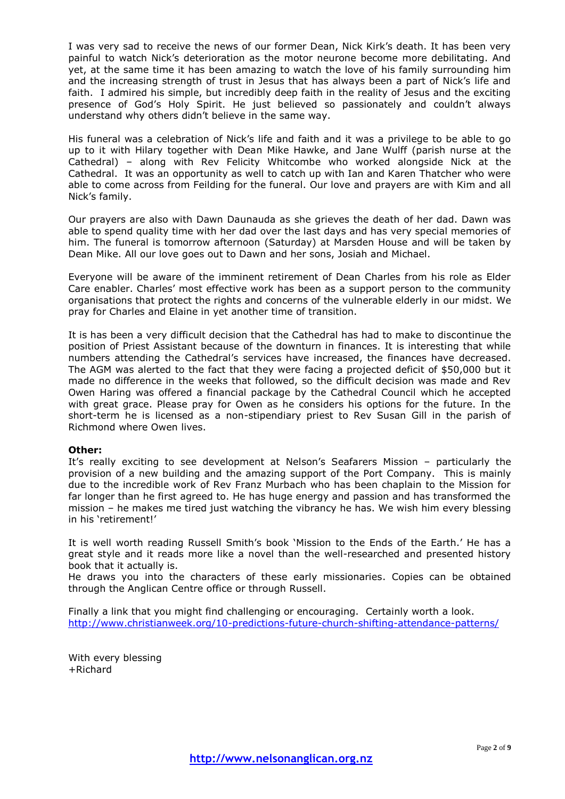I was very sad to receive the news of our former Dean, Nick Kirk's death. It has been very painful to watch Nick's deterioration as the motor neurone become more debilitating. And yet, at the same time it has been amazing to watch the love of his family surrounding him and the increasing strength of trust in Jesus that has always been a part of Nick's life and faith. I admired his simple, but incredibly deep faith in the reality of Jesus and the exciting presence of God's Holy Spirit. He just believed so passionately and couldn't always understand why others didn't believe in the same way.

His funeral was a celebration of Nick's life and faith and it was a privilege to be able to go up to it with Hilary together with Dean Mike Hawke, and Jane Wulff (parish nurse at the Cathedral) – along with Rev Felicity Whitcombe who worked alongside Nick at the Cathedral. It was an opportunity as well to catch up with Ian and Karen Thatcher who were able to come across from Feilding for the funeral. Our love and prayers are with Kim and all Nick's family.

Our prayers are also with Dawn Daunauda as she grieves the death of her dad. Dawn was able to spend quality time with her dad over the last days and has very special memories of him. The funeral is tomorrow afternoon (Saturday) at Marsden House and will be taken by Dean Mike. All our love goes out to Dawn and her sons, Josiah and Michael.

Everyone will be aware of the imminent retirement of Dean Charles from his role as Elder Care enabler. Charles' most effective work has been as a support person to the community organisations that protect the rights and concerns of the vulnerable elderly in our midst. We pray for Charles and Elaine in yet another time of transition.

It is has been a very difficult decision that the Cathedral has had to make to discontinue the position of Priest Assistant because of the downturn in finances. It is interesting that while numbers attending the Cathedral's services have increased, the finances have decreased. The AGM was alerted to the fact that they were facing a projected deficit of \$50,000 but it made no difference in the weeks that followed, so the difficult decision was made and Rev Owen Haring was offered a financial package by the Cathedral Council which he accepted with great grace. Please pray for Owen as he considers his options for the future. In the short-term he is licensed as a non-stipendiary priest to Rev Susan Gill in the parish of Richmond where Owen lives.

## **Other:**

It's really exciting to see development at Nelson's Seafarers Mission – particularly the provision of a new building and the amazing support of the Port Company. This is mainly due to the incredible work of Rev Franz Murbach who has been chaplain to the Mission for far longer than he first agreed to. He has huge energy and passion and has transformed the mission – he makes me tired just watching the vibrancy he has. We wish him every blessing in his 'retirement!'

It is well worth reading Russell Smith's book 'Mission to the Ends of the Earth.' He has a great style and it reads more like a novel than the well-researched and presented history book that it actually is.

He draws you into the characters of these early missionaries. Copies can be obtained through the Anglican Centre office or through Russell.

Finally a link that you might find challenging or encouraging. Certainly worth a look. <http://www.christianweek.org/10-predictions-future-church-shifting-attendance-patterns/>

With every blessing +Richard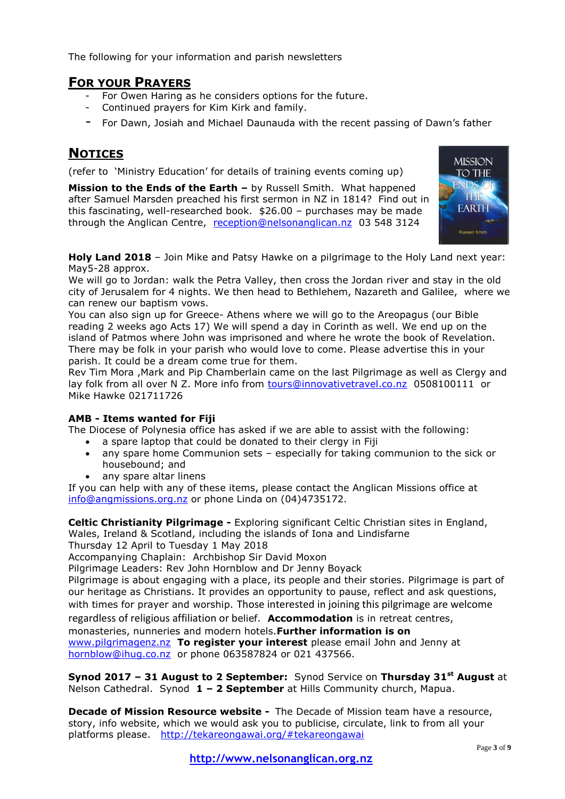The following for your information and parish newsletters

## **FOR YOUR PRAYERS**

- For Owen Haring as he considers options for the future.
- Continued prayers for Kim Kirk and family.
- For Dawn, Josiah and Michael Daunauda with the recent passing of Dawn's father

# **NOTICES**

(refer to 'Ministry Education' for details of training events coming up)

**Mission to the Ends of the Earth –** by Russell Smith. What happened after Samuel Marsden preached his first sermon in NZ in 1814? Find out in this fascinating, well-researched book. \$26.00 – purchases may be made through the Anglican Centre, [reception@nelsonanglican.nz](mailto:reception@nelsonanglican.nz) 03 548 3124



**Holy Land 2018** – Join Mike and Patsy Hawke on a pilgrimage to the Holy Land next year: May5-28 approx.

We will go to Jordan: walk the Petra Valley, then cross the Jordan river and stay in the old city of Jerusalem for 4 nights. We then head to Bethlehem, Nazareth and Galilee, where we can renew our baptism vows.

You can also sign up for Greece- Athens where we will go to the Areopagus (our Bible reading 2 weeks ago Acts 17) We will spend a day in Corinth as well. We end up on the island of Patmos where John was imprisoned and where he wrote the book of Revelation. There may be folk in your parish who would love to come. Please advertise this in your parish. It could be a dream come true for them.

Rev Tim Mora ,Mark and Pip Chamberlain came on the last Pilgrimage as well as Clergy and lay folk from all over N Z. More info from [tours@innovativetravel.co.nz](mailto:tours@innovativetravel.co.nz) 0508100111 or Mike Hawke 021711726

## **AMB - Items wanted for Fiji**

The Diocese of Polynesia office has asked if we are able to assist with the following:

- a spare laptop that could be donated to their clergy in Fiji
- any spare home Communion sets especially for taking communion to the sick or housebound; and
- any spare altar linens

If you can help with any of these items, please contact the Anglican Missions office at [info@angmissions.org.nz](mailto:info@angmissions.org.nz) or phone Linda on (04)4735172.

**Celtic Christianity Pilgrimage -** Exploring significant Celtic Christian sites in England, Wales, Ireland & Scotland, including the islands of Iona and Lindisfarne Thursday 12 April to Tuesday 1 May 2018

Accompanying Chaplain: Archbishop Sir David Moxon

Pilgrimage Leaders: Rev John Hornblow and Dr Jenny Boyack

Pilgrimage is about engaging with a place, its people and their stories. Pilgrimage is part of our heritage as Christians. It provides an opportunity to pause, reflect and ask questions, with times for prayer and worship. Those interested in joining this pilgrimage are welcome

regardless of religious affiliation or belief. **Accommodation** is in retreat centres,

monasteries, nunneries and modern hotels.**Further information is on**

[www.pilgrimagenz.nz](http://www.pilgrimagenz.nz/) **To register your interest** please email John and Jenny at [hornblow@ihug.co.nz](mailto:hornblow@ihug.co.nz) or phone 063587824 or 021 437566.

**Synod 2017 – 31 August to 2 September:** Synod Service on **Thursday 31st August** at Nelson Cathedral. Synod **1 – 2 September** at Hills Community church, Mapua.

**Decade of Mission Resource website -** The Decade of Mission team have a resource, story, info website, which we would ask you to publicise, circulate, link to from all your platforms please. <http://tekareongawai.org/#tekareongawai>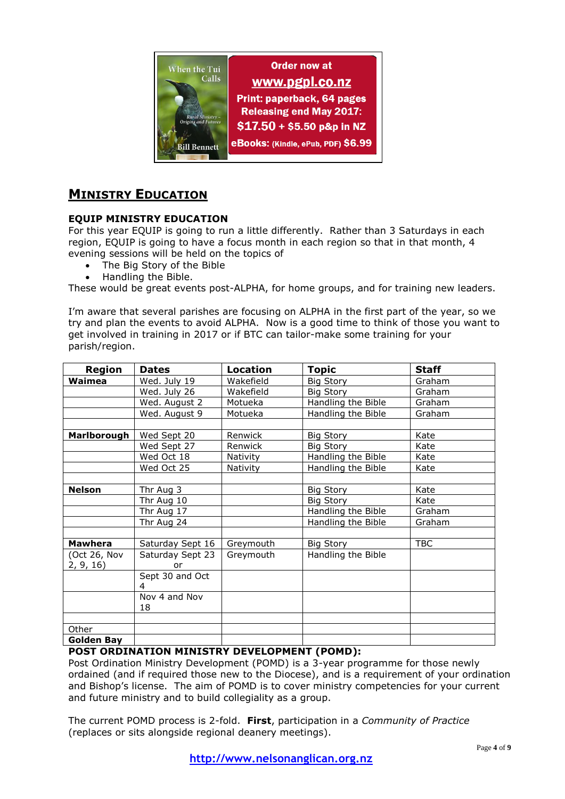

# **MINISTRY EDUCATION**

## **EQUIP MINISTRY EDUCATION**

For this year EQUIP is going to run a little differently. Rather than 3 Saturdays in each region, EQUIP is going to have a focus month in each region so that in that month, 4 evening sessions will be held on the topics of

- The Big Story of the Bible
- Handling the Bible.

These would be great events post-ALPHA, for home groups, and for training new leaders.

I'm aware that several parishes are focusing on ALPHA in the first part of the year, so we try and plan the events to avoid ALPHA. Now is a good time to think of those you want to get involved in training in 2017 or if BTC can tailor-make some training for your parish/region.

| <b>Region</b>      | <b>Dates</b>         | <b>Location</b> | Topic              | Staff      |
|--------------------|----------------------|-----------------|--------------------|------------|
| Waimea             | Wed. July 19         | Wakefield       | Big Story          | Graham     |
|                    | Wed. July 26         | Wakefield       | <b>Big Story</b>   | Graham     |
|                    | Wed. August 2        | Motueka         | Handling the Bible | Graham     |
|                    | Wed. August 9        | Motueka         | Handling the Bible | Graham     |
|                    |                      |                 |                    |            |
| <b>Marlborough</b> | Wed Sept 20          | Renwick         | Big Story          | Kate       |
|                    | Wed Sept 27          | Renwick         | <b>Big Story</b>   | Kate       |
|                    | Wed Oct 18           | Nativity        | Handling the Bible | Kate       |
|                    | Wed Oct 25           | Nativity        | Handling the Bible | Kate       |
|                    |                      |                 |                    |            |
| <b>Nelson</b>      | Thr Aug 3            |                 | <b>Big Story</b>   | Kate       |
|                    | Thr Aug 10           |                 | Big Story          | Kate       |
|                    | Thr Aug 17           |                 | Handling the Bible | Graham     |
|                    | Thr Aug 24           |                 | Handling the Bible | Graham     |
|                    |                      |                 |                    |            |
| <b>Mawhera</b>     | Saturday Sept 16     | Greymouth       | <b>Big Story</b>   | <b>TBC</b> |
| (Oct 26, Nov       | Saturday Sept 23     | Greymouth       | Handling the Bible |            |
| 2, 9, 16)          | or                   |                 |                    |            |
|                    | Sept 30 and Oct<br>4 |                 |                    |            |
|                    | Nov 4 and Nov        |                 |                    |            |
|                    | 18                   |                 |                    |            |
|                    |                      |                 |                    |            |
| Other              |                      |                 |                    |            |
| <b>Golden Bay</b>  |                      |                 |                    |            |

## **POST ORDINATION MINISTRY DEVELOPMENT (POMD):**

Post Ordination Ministry Development (POMD) is a 3-year programme for those newly ordained (and if required those new to the Diocese), and is a requirement of your ordination and Bishop's license. The aim of POMD is to cover ministry competencies for your current and future ministry and to build collegiality as a group.

The current POMD process is 2-fold. **First**, participation in a *Community of Practice* (replaces or sits alongside regional deanery meetings).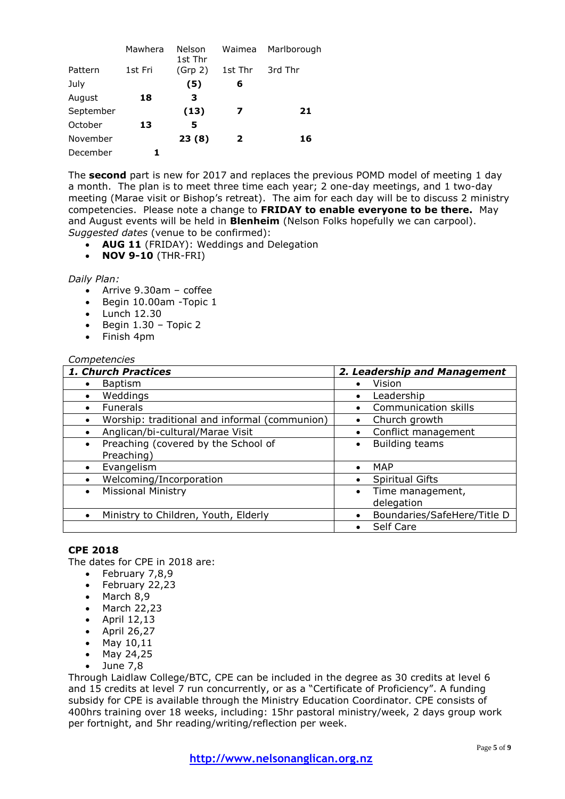|           | Mawhera | Nelson<br>1st Thr | Waimea  | Marlborough |
|-----------|---------|-------------------|---------|-------------|
| Pattern   | 1st Fri | (Grp 2)           | 1st Thr | 3rd Thr     |
| July      |         | (5)               | 6       |             |
| August    | 18      | 3                 |         |             |
| September |         | (13)              | 7       | 21          |
| October   | 13      | 5                 |         |             |
| November  |         | 23(8)             | 2       | 16          |
| December  |         |                   |         |             |

The **second** part is new for 2017 and replaces the previous POMD model of meeting 1 day a month. The plan is to meet three time each year; 2 one-day meetings, and 1 two-day meeting (Marae visit or Bishop's retreat). The aim for each day will be to discuss 2 ministry competencies. Please note a change to **FRIDAY to enable everyone to be there.** May and August events will be held in **Blenheim** (Nelson Folks hopefully we can carpool). *Suggested dates* (venue to be confirmed):

- **AUG 11** (FRIDAY): Weddings and Delegation
- **NOV 9-10** (THR-FRI)

#### *Daily Plan:*

- Arrive 9.30am coffee
- Begin 10.00am Topic 1
- Lunch 12.30
- $\bullet$  Begin 1.30 Topic 2
- Finish 4pm

#### *Competencies*

| 1. Church Practices                              | 2. Leadership and Management             |  |  |
|--------------------------------------------------|------------------------------------------|--|--|
| <b>Baptism</b>                                   | Vision<br>$\bullet$                      |  |  |
| Weddings<br>$\bullet$                            | Leadership<br>$\bullet$                  |  |  |
| <b>Funerals</b>                                  | Communication skills                     |  |  |
| Worship: traditional and informal (communion)    | Church growth<br>$\bullet$               |  |  |
| Anglican/bi-cultural/Marae Visit                 | Conflict management<br>$\bullet$         |  |  |
| Preaching (covered by the School of<br>$\bullet$ | <b>Building teams</b><br>$\bullet$       |  |  |
| Preaching)                                       |                                          |  |  |
| Evangelism                                       | <b>MAP</b><br>$\bullet$                  |  |  |
| Welcoming/Incorporation                          | <b>Spiritual Gifts</b><br>$\bullet$      |  |  |
| <b>Missional Ministry</b><br>$\bullet$           | Time management,<br>٠                    |  |  |
|                                                  | delegation                               |  |  |
| Ministry to Children, Youth, Elderly             | Boundaries/SafeHere/Title D<br>$\bullet$ |  |  |
|                                                  | Self Care                                |  |  |

## **CPE 2018**

The dates for CPE in 2018 are:

- **February 7,8,9**<br>**February 22.23**
- February 22,23
- $-March 8.9$
- $•$  March 22,23
- $\bullet$  April 12,13
- $\bullet$  April 26,27
- May  $10,11$
- May 24,25
- $\bullet$  June 7,8

Through Laidlaw College/BTC, CPE can be included in the degree as 30 credits at level 6 and 15 credits at level 7 run concurrently, or as a "Certificate of Proficiency". A funding subsidy for CPE is available through the Ministry Education Coordinator. CPE consists of 400hrs training over 18 weeks, including: 15hr pastoral ministry/week, 2 days group work per fortnight, and 5hr reading/writing/reflection per week.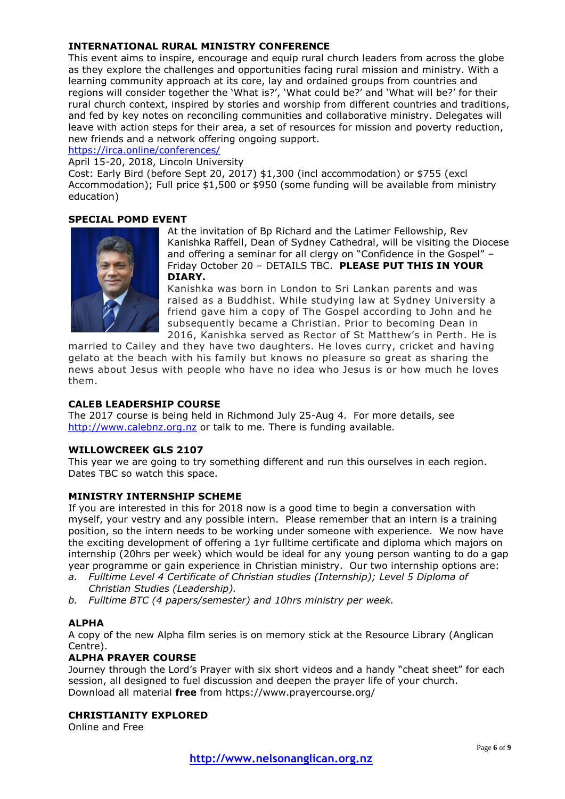## **INTERNATIONAL RURAL MINISTRY CONFERENCE**

This event aims to inspire, encourage and equip rural church leaders from across the globe as they explore the challenges and opportunities facing rural mission and ministry. With a learning community approach at its core, lay and ordained groups from countries and regions will consider together the 'What is?', 'What could be?' and 'What will be?' for their rural church context, inspired by stories and worship from different countries and traditions, and fed by key notes on reconciling communities and collaborative ministry. Delegates will leave with action steps for their area, a set of resources for mission and poverty reduction, new friends and a network offering ongoing support.

<https://irca.online/conferences/>

April 15-20, 2018, Lincoln University

Cost: Early Bird (before Sept 20, 2017) \$1,300 (incl accommodation) or \$755 (excl Accommodation); Full price \$1,500 or \$950 (some funding will be available from ministry education)

## **SPECIAL POMD EVENT**



At the invitation of Bp Richard and the Latimer Fellowship, Rev Kanishka Raffell, Dean of Sydney Cathedral, will be visiting the Diocese and offering a seminar for all clergy on "Confidence in the Gospel" – Friday October 20 – DETAILS TBC. **PLEASE PUT THIS IN YOUR DIARY.**

Kanishka was born in London to Sri Lankan parents and was raised as a Buddhist. While studying law at Sydney University a friend gave him a copy of The Gospel according to John and he subsequently became a Christian. Prior to becoming Dean in 2016, Kanishka served as Rector of St Matthew's in Perth. He is

married to Cailey and they have two daughters. He loves curry, cricket and having gelato at the beach with his family but knows no pleasure so great as sharing the news about Jesus with people who have no idea who Jesus is or how much he loves them.

## **CALEB LEADERSHIP COURSE**

The 2017 course is being held in Richmond July 25-Aug 4. For more details, see [http://www.calebnz.org.nz](http://www.calebnz.org.nz/) or talk to me. There is funding available.

## **WILLOWCREEK GLS 2107**

This year we are going to try something different and run this ourselves in each region. Dates TBC so watch this space.

## **MINISTRY INTERNSHIP SCHEME**

If you are interested in this for 2018 now is a good time to begin a conversation with myself, your vestry and any possible intern. Please remember that an intern is a training position, so the intern needs to be working under someone with experience. We now have the exciting development of offering a 1yr fulltime certificate and diploma which majors on internship (20hrs per week) which would be ideal for any young person wanting to do a gap year programme or gain experience in Christian ministry. Our two internship options are:

- *a. Fulltime Level 4 Certificate of Christian studies (Internship); Level 5 Diploma of Christian Studies (Leadership).*
- *b. Fulltime BTC (4 papers/semester) and 10hrs ministry per week.*

## **ALPHA**

A copy of the new Alpha film series is on memory stick at the Resource Library (Anglican Centre).

## **ALPHA PRAYER COURSE**

Journey through the Lord's Prayer with six short videos and a handy "cheat sheet" for each session, all designed to fuel discussion and deepen the prayer life of your church. Download all material **free** from https://www.prayercourse.org/

## **CHRISTIANITY EXPLORED**

Online and Free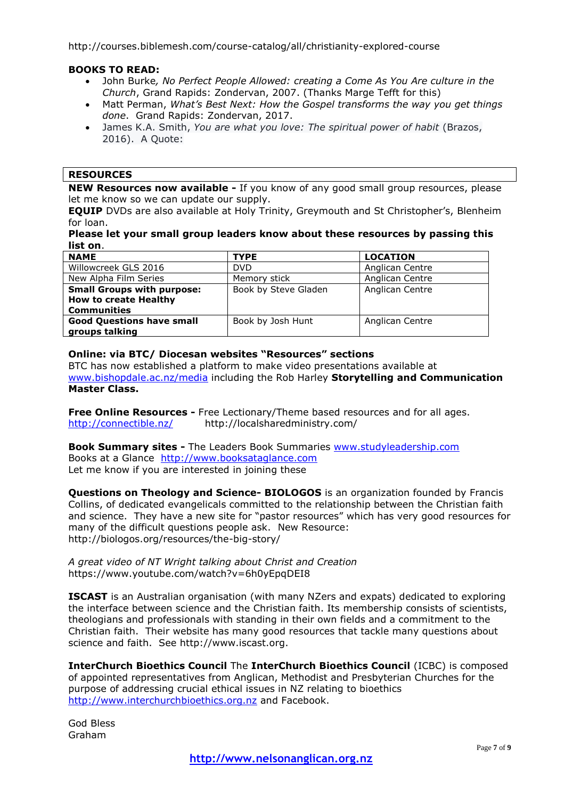http://courses.biblemesh.com/course-catalog/all/christianity-explored-course

## **BOOKS TO READ:**

- John Burke*, No Perfect People Allowed: creating a Come As You Are culture in the Church*, Grand Rapids: Zondervan, 2007. (Thanks Marge Tefft for this)
- Matt Perman, *What's Best Next: How the Gospel transforms the way you get things done*. Grand Rapids: Zondervan, 2017.
- James K.A. Smith, *You are what you love: The spiritual power of habit* (Brazos, 2016). A Quote:

#### **RESOURCES**

**NEW Resources now available -** If you know of any good small group resources, please let me know so we can update our supply.

**EQUIP** DVDs are also available at Holy Trinity, Greymouth and St Christopher's, Blenheim for loan.

## **Please let your small group leaders know about these resources by passing this list on**.

| <b>NAME</b>                       | <b>TYPE</b>          | <b>LOCATION</b> |
|-----------------------------------|----------------------|-----------------|
| Willowcreek GLS 2016              | DVD.                 | Anglican Centre |
| New Alpha Film Series             | Memory stick         | Anglican Centre |
| <b>Small Groups with purpose:</b> | Book by Steve Gladen | Anglican Centre |
| <b>How to create Healthy</b>      |                      |                 |
| <b>Communities</b>                |                      |                 |
| <b>Good Questions have small</b>  | Book by Josh Hunt    | Anglican Centre |
| groups talking                    |                      |                 |

#### **Online: via BTC/ Diocesan websites "Resources" sections**

BTC has now established a platform to make video presentations available at [www.bishopdale.ac.nz/media](http://www.bishopdale.ac.nz/media) including the Rob Harley **Storytelling and Communication Master Class.**

**Free Online Resources -** Free Lectionary/Theme based resources and for all ages. <http://connectible.nz/> http://localsharedministry.com/

**Book Summary sites -** The Leaders Book Summaries [www.studyleadership.com](http://www.studyleadership.com/) Books at a Glance [http://www.booksataglance.com](http://www.booksataglance.com/) Let me know if you are interested in joining these

**Questions on Theology and Science- BIOLOGOS** is an organization founded by Francis Collins, of dedicated evangelicals committed to the relationship between the Christian faith and science. They have a new site for "pastor resources" which has very good resources for many of the difficult questions people ask. New Resource: http://biologos.org/resources/the-big-story/

*A great video of NT Wright talking about Christ and Creation* https://www.youtube.com/watch?v=6h0yEpqDEI8

**ISCAST** is an Australian organisation (with many NZers and expats) dedicated to exploring the interface between science and the Christian faith. Its membership consists of scientists, theologians and professionals with standing in their own fields and a commitment to the Christian faith. Their website has many good resources that tackle many questions about science and faith. See http://www.iscast.org.

**InterChurch Bioethics Council** The **InterChurch Bioethics Council** (ICBC) is composed of appointed representatives from Anglican, Methodist and Presbyterian Churches for the purpose of addressing crucial ethical issues in NZ relating to bioethics [http://www.interchurchbioethics.org.nz](http://www.interchurchbioethics.org.nz/) and Facebook.

God Bless Graham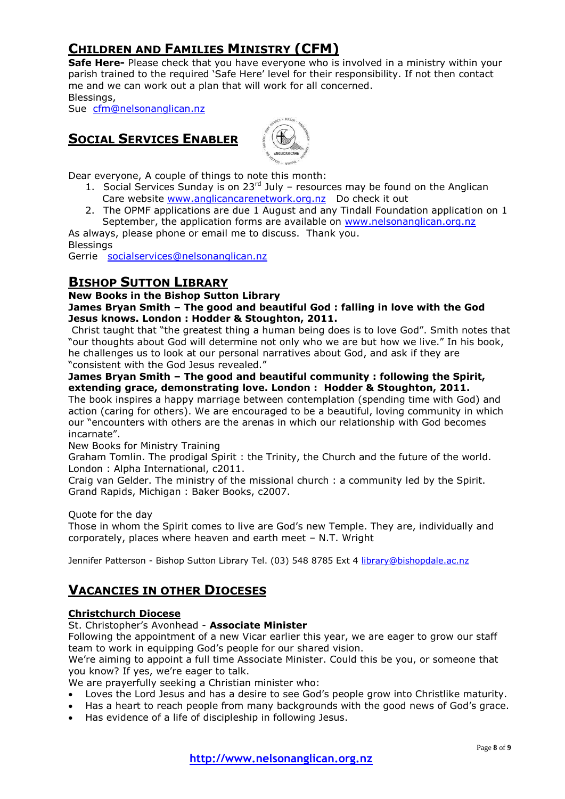# **CHILDREN AND FAMILIES MINISTRY (CFM)**

**Safe Here-** Please check that you have everyone who is involved in a ministry within your parish trained to the required 'Safe Here' level for their responsibility. If not then contact me and we can work out a plan that will work for all concerned. Blessings,

Sue [cfm@nelsonanglican.nz](mailto:cfm@nelsonanglican.nz)

## **SOCIAL SERVICES ENABLER**



Dear everyone, A couple of things to note this month:

- 1. Social Services Sunday is on  $23^{rd}$  July resources may be found on the Anglican Care website [www.anglicancarenetwork.org.nz](http://www.anglicancarenetwork.org.nz/) Do check it out
- 2. The OPMF applications are due 1 August and any Tindall Foundation application on 1 September, the application forms are available on [www.nelsonanglican.org.nz](http://www.nelsonanglican.org.nz/)

As always, please phone or email me to discuss. Thank you. Blessings

Gerrie [socialservices@nelsonanglican.nz](mailto:socialservices@nelsonanglican.nz)

## **BISHOP SUTTON LIBRARY**

## **New Books in the Bishop Sutton Library**

## **James Bryan Smith – The good and beautiful God : falling in love with the God Jesus knows. London : Hodder & Stoughton, 2011.**

Christ taught that "the greatest thing a human being does is to love God". Smith notes that "our thoughts about God will determine not only who we are but how we live." In his book, he challenges us to look at our personal narratives about God, and ask if they are "consistent with the God Jesus revealed."

## **James Bryan Smith – The good and beautiful community : following the Spirit, extending grace, demonstrating love. London : Hodder & Stoughton, 2011.**

The book inspires a happy marriage between contemplation (spending time with God) and action (caring for others). We are encouraged to be a beautiful, loving community in which our "encounters with others are the arenas in which our relationship with God becomes incarnate".

New Books for Ministry Training

Graham Tomlin. The prodigal Spirit : the Trinity, the Church and the future of the world. London : Alpha International, c2011.

Craig van Gelder. The ministry of the missional church : a community led by the Spirit. Grand Rapids, Michigan : Baker Books, c2007.

Quote for the day

Those in whom the Spirit comes to live are God's new Temple. They are, individually and corporately, places where heaven and earth meet – N.T. Wright

Jennifer Patterson - Bishop Sutton Library Tel. (03) 548 8785 Ext 4 [library@bishopdale.ac.nz](mailto:library@bishopdale.ac.nz)

# **VACANCIES IN OTHER DIOCESES**

## **Christchurch Diocese**

## St. Christopher's Avonhead - **Associate Minister**

Following the appointment of a new Vicar earlier this year, we are eager to grow our staff team to work in equipping God's people for our shared vision.

We're aiming to appoint a full time Associate Minister. Could this be you, or someone that you know? If yes, we're eager to talk.

We are prayerfully seeking a Christian minister who:

- Loves the Lord Jesus and has a desire to see God's people grow into Christlike maturity.
- Has a heart to reach people from many backgrounds with the good news of God's grace.
- Has evidence of a life of discipleship in following Jesus.